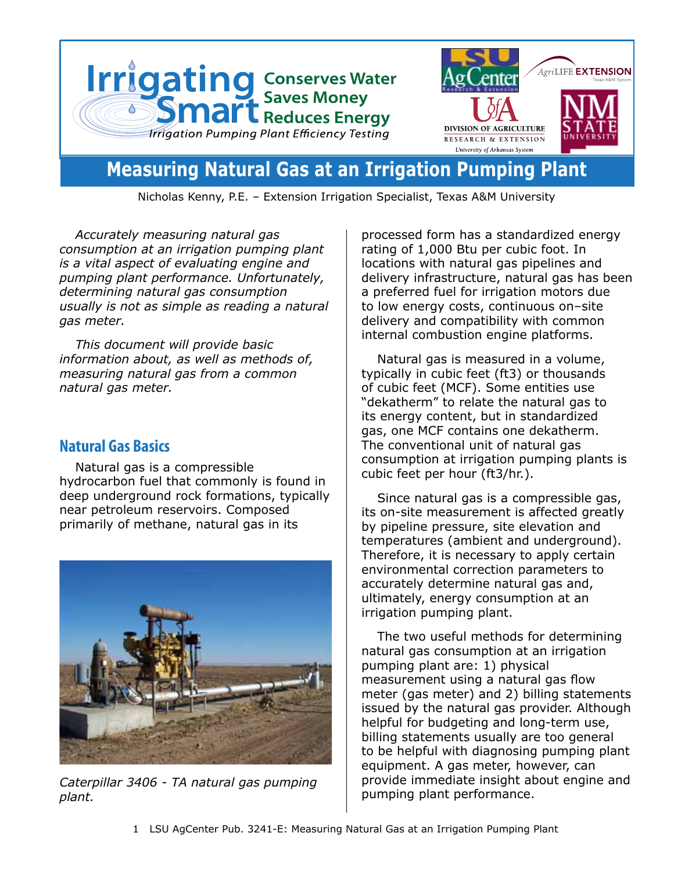

**Measuring Natural Gas at an Irrigation Pumping Plant** 

Nicholas Kenny, P.E. – Extension Irrigation Specialist, Texas A&M University

*Accurately measuring natural gas consumption at an irrigation pumping plant is a vital aspect of evaluating engine and pumping plant performance. Unfortunately, determining natural gas consumption usually is not as simple as reading a natural gas meter.* 

*This document will provide basic information about, as well as methods of, measuring natural gas from a common natural gas meter.*

## **Natural Gas Basics**

Natural gas is a compressible hydrocarbon fuel that commonly is found in deep underground rock formations, typically near petroleum reservoirs. Composed primarily of methane, natural gas in its



pumping plant performance. *Caterpillar 3406 - TA natural gas pumping plant.*

processed form has a standardized energy rating of 1,000 Btu per cubic foot. In locations with natural gas pipelines and delivery infrastructure, natural gas has been a preferred fuel for irrigation motors due to low energy costs, continuous on–site delivery and compatibility with common internal combustion engine platforms.

Natural gas is measured in a volume, typically in cubic feet (ft3) or thousands of cubic feet (MCF). Some entities use "dekatherm" to relate the natural gas to its energy content, but in standardized gas, one MCF contains one dekatherm. The conventional unit of natural gas consumption at irrigation pumping plants is cubic feet per hour (ft3/hr.).

Since natural gas is a compressible gas, its on-site measurement is affected greatly by pipeline pressure, site elevation and temperatures (ambient and underground). Therefore, it is necessary to apply certain environmental correction parameters to accurately determine natural gas and, ultimately, energy consumption at an irrigation pumping plant.

The two useful methods for determining natural gas consumption at an irrigation pumping plant are: 1) physical measurement using a natural gas flow meter (gas meter) and 2) billing statements issued by the natural gas provider. Although helpful for budgeting and long-term use, billing statements usually are too general to be helpful with diagnosing pumping plant equipment. A gas meter, however, can provide immediate insight about engine and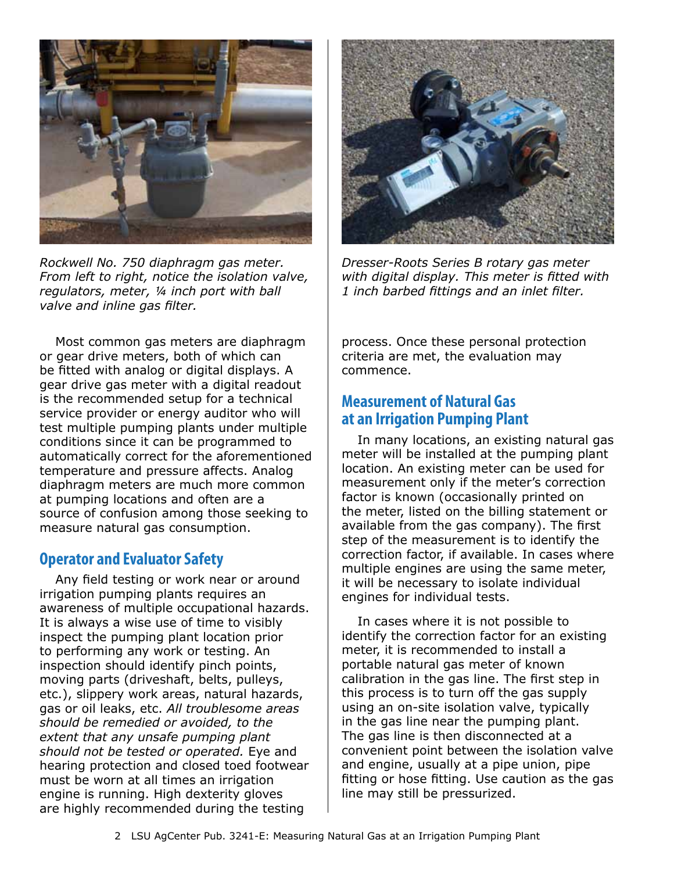

*Rockwell No. 750 diaphragm gas meter. From left to right, notice the isolation valve, regulators, meter, ¼ inch port with ball valve and inline gas filter.*

Most common gas meters are diaphragm or gear drive meters, both of which can be fitted with analog or digital displays. A gear drive gas meter with a digital readout is the recommended setup for a technical service provider or energy auditor who will test multiple pumping plants under multiple conditions since it can be programmed to automatically correct for the aforementioned temperature and pressure affects. Analog diaphragm meters are much more common at pumping locations and often are a source of confusion among those seeking to measure natural gas consumption.

# **Operator and Evaluator Safety**

Any field testing or work near or around irrigation pumping plants requires an awareness of multiple occupational hazards. It is always a wise use of time to visibly inspect the pumping plant location prior to performing any work or testing. An inspection should identify pinch points, moving parts (driveshaft, belts, pulleys, etc.), slippery work areas, natural hazards, gas or oil leaks, etc. *All troublesome areas should be remedied or avoided, to the extent that any unsafe pumping plant should not be tested or operated.* Eye and hearing protection and closed toed footwear must be worn at all times an irrigation engine is running. High dexterity gloves are highly recommended during the testing



*Dresser-Roots Series B rotary gas meter with digital display. This meter is fitted with 1 inch barbed fittings and an inlet filter.*

process. Once these personal protection criteria are met, the evaluation may commence.

# **Measurement of Natural Gas at an Irrigation Pumping Plant**

In many locations, an existing natural gas meter will be installed at the pumping plant location. An existing meter can be used for measurement only if the meter's correction factor is known (occasionally printed on the meter, listed on the billing statement or available from the gas company). The first step of the measurement is to identify the correction factor, if available. In cases where multiple engines are using the same meter, it will be necessary to isolate individual engines for individual tests.

In cases where it is not possible to identify the correction factor for an existing meter, it is recommended to install a portable natural gas meter of known calibration in the gas line. The first step in this process is to turn off the gas supply using an on-site isolation valve, typically in the gas line near the pumping plant. The gas line is then disconnected at a convenient point between the isolation valve and engine, usually at a pipe union, pipe fitting or hose fitting. Use caution as the gas line may still be pressurized.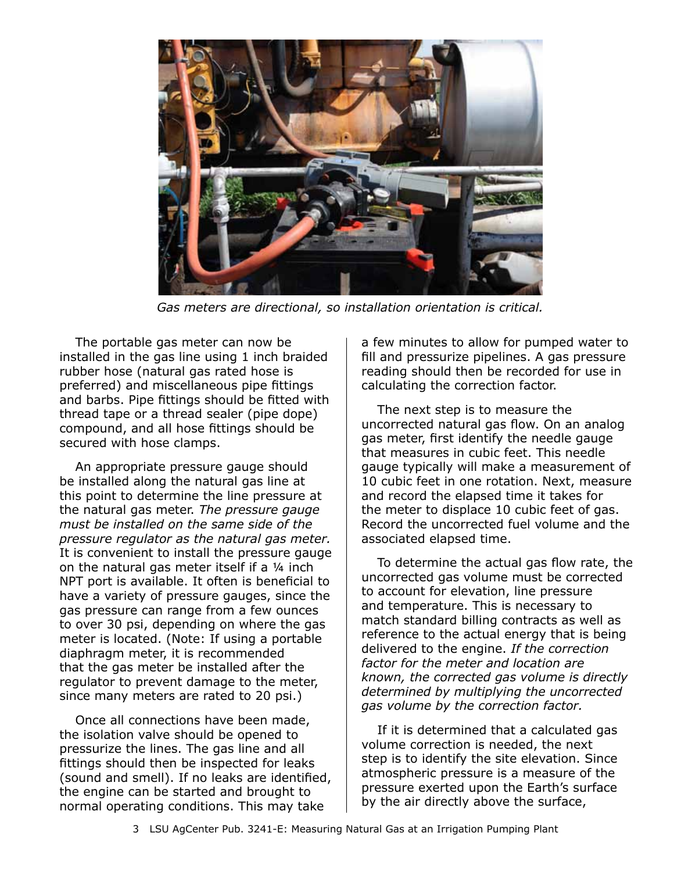

*Gas meters are directional, so installation orientation is critical.*

The portable gas meter can now be installed in the gas line using 1 inch braided rubber hose (natural gas rated hose is preferred) and miscellaneous pipe fittings and barbs. Pipe fittings should be fitted with thread tape or a thread sealer (pipe dope) compound, and all hose fittings should be secured with hose clamps.

An appropriate pressure gauge should be installed along the natural gas line at this point to determine the line pressure at the natural gas meter. *The pressure gauge must be installed on the same side of the pressure regulator as the natural gas meter.*  It is convenient to install the pressure gauge on the natural gas meter itself if a ¼ inch NPT port is available. It often is beneficial to have a variety of pressure gauges, since the gas pressure can range from a few ounces to over 30 psi, depending on where the gas meter is located. (Note: If using a portable diaphragm meter, it is recommended that the gas meter be installed after the regulator to prevent damage to the meter, since many meters are rated to 20 psi.)

Once all connections have been made, the isolation valve should be opened to pressurize the lines. The gas line and all fittings should then be inspected for leaks (sound and smell). If no leaks are identified, the engine can be started and brought to normal operating conditions. This may take

a few minutes to allow for pumped water to fill and pressurize pipelines. A gas pressure reading should then be recorded for use in calculating the correction factor.

The next step is to measure the uncorrected natural gas flow. On an analog gas meter, first identify the needle gauge that measures in cubic feet. This needle gauge typically will make a measurement of 10 cubic feet in one rotation. Next, measure and record the elapsed time it takes for the meter to displace 10 cubic feet of gas. Record the uncorrected fuel volume and the associated elapsed time.

To determine the actual gas flow rate, the uncorrected gas volume must be corrected to account for elevation, line pressure and temperature. This is necessary to match standard billing contracts as well as reference to the actual energy that is being delivered to the engine. *If the correction factor for the meter and location are known, the corrected gas volume is directly determined by multiplying the uncorrected gas volume by the correction factor.* 

If it is determined that a calculated gas volume correction is needed, the next step is to identify the site elevation. Since atmospheric pressure is a measure of the pressure exerted upon the Earth's surface by the air directly above the surface,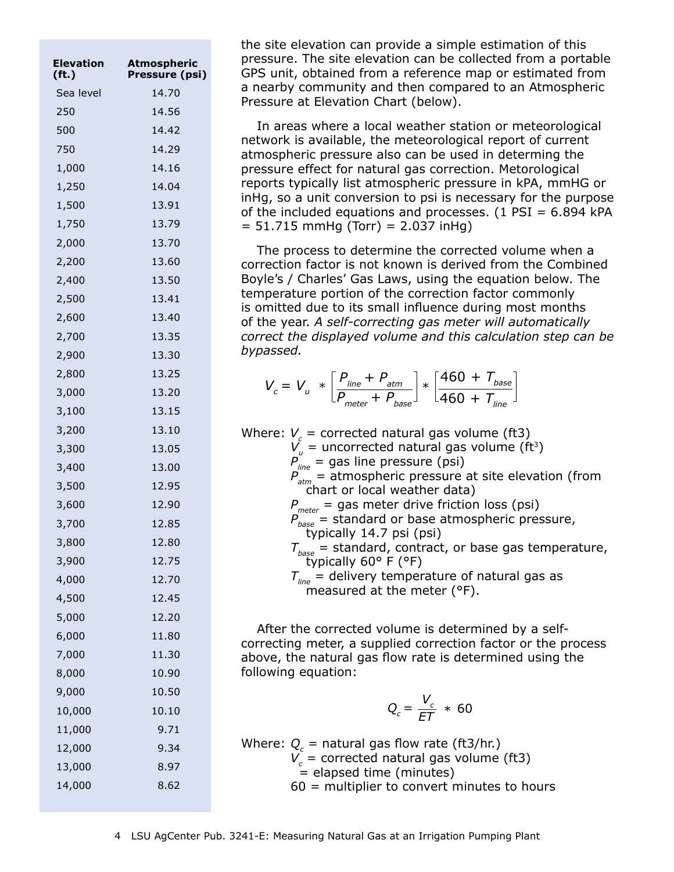| Elevation<br>(f <sub>t</sub> ) | Atmospheric<br>Pressure (psi) |
|--------------------------------|-------------------------------|
| Sea level                      | 14.70                         |
| 250                            | 14.56                         |
| 500                            | 14.42                         |
| 750                            | 14.29                         |
| 1,000                          | 14.16                         |
| 1,250                          | 14.04                         |
| 1,500                          | 13.91                         |
| 1,750                          | 13.79                         |
| 2,000                          | 13.70                         |
| 2,200                          | 13.60                         |
| 2,400                          | 13.50                         |
| 2,500                          | 13.41                         |
| 2,600                          | 13.40                         |
| 2,700                          | 13.35                         |
| 2,900                          | 13.30                         |
| 2,800                          | 13.25                         |
| 3,000                          | 13.20                         |
| 3,100                          | 13.15                         |
| 3,200                          | 13.10                         |
| 3,300                          | 13.05                         |
| 3,400                          | 13.00                         |
| 3,500                          | 12.95                         |
| 3,600                          | 12.90                         |
| 3,700                          | 12.85                         |
| 3,800                          | 12.80                         |
| 3,900                          | 12.75                         |
| 4,000                          | 12.70                         |
| 4,500                          | 12.45                         |
| 5,000                          | 12.20                         |
| 6,000                          | 11.80                         |
| 7,000                          | 11.30                         |
| 8,000                          | 10.90                         |
| 9,000                          | 10.50                         |
| 10,000                         | 10.10                         |
| 11,000                         | 9.71                          |
| 12,000                         | 9.34                          |
| 13,000                         | 8.97                          |
| 14,000                         | 8.62                          |

the site elevation can provide a simple estimation of this pressure. The site elevation can be collected from a portable GPS unit, obtained from a reference map or estimated from a nearby community and then compared to an Atmospheric Pressure at Elevation Chart (below).

In areas where a local weather station or meteorological network is available, the meteorological report of current atmospheric pressure also can be used in determing the pressure effect for natural gas correction. Metorological reports typically list atmospheric pressure in kPA, mmHG or inHg, so a unit conversion to psi is necessary for the purpose of the included equations and processes.  $(1$  PSI = 6.894 kPA  $= 51.715$  mmHg (Torr)  $= 2.037$  inHg)

The process to determine the corrected volume when a correction factor is not known is derived from the Combined Boyle's / Charles' Gas Laws, using the equation below. The temperature portion of the correction factor commonly is omitted due to its small influence during most months of the year. *A self-correcting gas meter will automatically correct the displayed volume and this calculation step can be bypassed.* 

$$
V_c = V_u * \left[\frac{P_{\text{line}} + P_{\text{atm}}}{P_{\text{meter}} + P_{\text{base}}}\right] * \left[\frac{460 + T_{\text{base}}}{460 + T_{\text{line}}}\right]
$$

| Where: $V_c$ = corrected natural gas volume (ft3)<br>$V_u$ = uncorrected natural gas volume (ft <sup>3</sup> ) |
|----------------------------------------------------------------------------------------------------------------|
| $P_{line}^{v}$ = gas line pressure (psi)<br>$P_{atm}$ = atmospheric pressure at site elevation (from           |
|                                                                                                                |
| chart or local weather data)                                                                                   |
|                                                                                                                |
| $P_{meter}$ = gas meter drive friction loss (psi)<br>$P_{base}$ = standard or base atmospheric pressure,       |
| typically 14.7 psi (psi)                                                                                       |
| $T_{base}$ = standard, contract, or base gas temperature,                                                      |
| typically 60° F (°F)                                                                                           |
| $T_{\text{line}}$ = delivery temperature of natural gas as                                                     |
| measured at the meter (°F).                                                                                    |
|                                                                                                                |

After the corrected volume is determined by a selfcorrecting meter, a supplied correction factor or the process above, the natural gas flow rate is determined using the following equation:

$$
Q_c = \frac{V_c}{ET} \; * \; 60
$$

| Where: $Q_c$ = natural gas flow rate (ft3/hr.) |
|------------------------------------------------|
| $V_c$ = corrected natural gas volume (ft3)     |
| $=$ elapsed time (minutes)                     |
| $60$ = multiplier to convert minutes to hours  |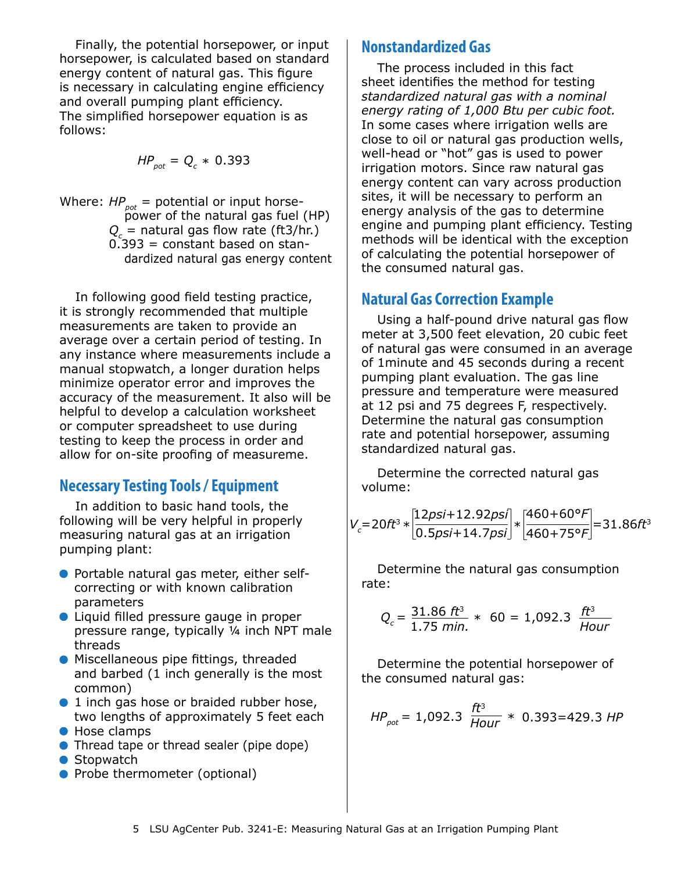Finally, the potential horsepower, or input horsepower, is calculated based on standard energy content of natural gas. This figure is necessary in calculating engine efficiency and overall pumping plant efficiency. The simplified horsepower equation is as follows:

$$
HP_{pot} = Q_c * 0.393
$$

Where:  $HP_{pot}$  = potential or input horse power of the natural gas fuel (HP) *Qc* = natural gas flow rate (ft3/hr.)  $0.393$  = constant based on standardized natural gas energy content

In following good field testing practice, it is strongly recommended that multiple measurements are taken to provide an average over a certain period of testing. In any instance where measurements include a manual stopwatch, a longer duration helps minimize operator error and improves the accuracy of the measurement. It also will be helpful to develop a calculation worksheet or computer spreadsheet to use during testing to keep the process in order and allow for on-site proofing of measureme.

# **Necessary Testing Tools / Equipment**

In addition to basic hand tools, the following will be very helpful in properly measuring natural gas at an irrigation pumping plant:

- Portable natural gas meter, either selfcorrecting or with known calibration parameters
- Liquid filled pressure gauge in proper pressure range, typically ¼ inch NPT male threads
- **Miscellaneous pipe fittings, threaded** and barbed (1 inch generally is the most common)
- 1 inch gas hose or braided rubber hose, two lengths of approximately 5 feet each
- Hose clamps
- Thread tape or thread sealer (pipe dope)
- Stopwatch
- Probe thermometer (optional)

## **Nonstandardized Gas**

The process included in this fact sheet identifies the method for testing *standardized natural gas with a nominal energy rating of 1,000 Btu per cubic foot.* In some cases where irrigation wells are close to oil or natural gas production wells, well-head or "hot" gas is used to power irrigation motors. Since raw natural gas energy content can vary across production sites, it will be necessary to perform an energy analysis of the gas to determine engine and pumping plant efficiency. Testing methods will be identical with the exception of calculating the potential horsepower of the consumed natural gas.

# **Natural Gas Correction Example**

Using a half-pound drive natural gas flow meter at 3,500 feet elevation, 20 cubic feet of natural gas were consumed in an average of 1minute and 45 seconds during a recent pumping plant evaluation. The gas line pressure and temperature were measured at 12 psi and 75 degrees F, respectively. Determine the natural gas consumption rate and potential horsepower, assuming standardized natural gas.

Determine the corrected natural gas volume:

$$
V_c = 20ft^3 * \left[\frac{12ps + 12.92ps}{0.5ps + 14.7ps}\right] * \left[\frac{460 + 60\degree F}{460 + 75\degree F}\right] = 31.86ft^3
$$

Determine the natural gas consumption rate:

$$
Q_c = \frac{31.86 \text{ ft}^3}{1.75 \text{ min.}} * 60 = 1,092.3 \frac{\text{ ft}^3}{\text{Hour}}
$$

Determine the potential horsepower of the consumed natural gas:

$$
HP_{pot} = 1,092.3 \frac{ft^3}{Hour} * 0.393 = 429.3 HP
$$